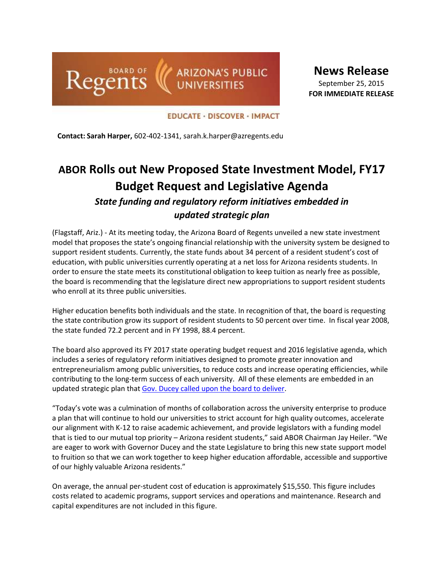

**News Release** September 25, 2015 **FOR IMMEDIATE RELEASE**

**EDUCATE · DISCOVER · IMPACT** 

**Contact: Sarah Harper,** 602-402-1341, sarah.k.harper@azregents.edu

# **ABOR Rolls out New Proposed State Investment Model, FY17 Budget Request and Legislative Agenda** *State funding and regulatory reform initiatives embedded in*

## *updated strategic plan*

(Flagstaff, Ariz.) - At its meeting today, the Arizona Board of Regents unveiled a new state investment model that proposes the state's ongoing financial relationship with the university system be designed to support resident students. Currently, the state funds about 34 percent of a resident student's cost of education, with public universities currently operating at a net loss for Arizona residents students. In order to ensure the state meets its constitutional obligation to keep tuition as nearly free as possible, the board is recommending that the legislature direct new appropriations to support resident students who enroll at its three public universities.

Higher education benefits both individuals and the state. In recognition of that, the board is requesting the state contribution grow its support of resident students to 50 percent over time. In fiscal year 2008, the state funded 72.2 percent and in FY 1998, 88.4 percent.

The board also approved its FY 2017 state operating budget request and 2016 legislative agenda, which includes a series of regulatory reform initiatives designed to promote greater innovation and entrepreneurialism among public universities, to reduce costs and increase operating efficiencies, while contributing to the long-term success of each university. All of these elements are embedded in an updated strategic plan that Gov. [Ducey called upon the board to deliver.](http://azgovernor.gov/governor/news/remarks-arizona-board-regents)

"Today's vote was a culmination of months of collaboration across the university enterprise to produce a plan that will continue to hold our universities to strict account for high quality outcomes, accelerate our alignment with K-12 to raise academic achievement, and provide legislators with a funding model that is tied to our mutual top priority – Arizona resident students," said ABOR Chairman Jay Heiler. "We are eager to work with Governor Ducey and the state Legislature to bring this new state support model to fruition so that we can work together to keep higher education affordable, accessible and supportive of our highly valuable Arizona residents."

On average, the annual per-student cost of education is approximately \$15,550. This figure includes costs related to academic programs, support services and operations and maintenance. Research and capital expenditures are not included in this figure.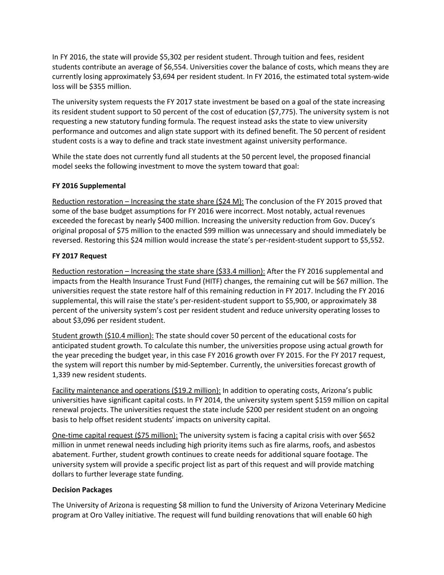In FY 2016, the state will provide \$5,302 per resident student. Through tuition and fees, resident students contribute an average of \$6,554. Universities cover the balance of costs, which means they are currently losing approximately \$3,694 per resident student. In FY 2016, the estimated total system-wide loss will be \$355 million.

The university system requests the FY 2017 state investment be based on a goal of the state increasing its resident student support to 50 percent of the cost of education (\$7,775). The university system is not requesting a new statutory funding formula. The request instead asks the state to view university performance and outcomes and align state support with its defined benefit. The 50 percent of resident student costs is a way to define and track state investment against university performance.

While the state does not currently fund all students at the 50 percent level, the proposed financial model seeks the following investment to move the system toward that goal:

#### **FY 2016 Supplemental**

Reduction restoration – Increasing the state share (\$24 M): The conclusion of the FY 2015 proved that some of the base budget assumptions for FY 2016 were incorrect. Most notably, actual revenues exceeded the forecast by nearly \$400 million. Increasing the university reduction from Gov. Ducey's original proposal of \$75 million to the enacted \$99 million was unnecessary and should immediately be reversed. Restoring this \$24 million would increase the state's per-resident-student support to \$5,552.

### **FY 2017 Request**

Reduction restoration – Increasing the state share (\$33.4 million): After the FY 2016 supplemental and impacts from the Health Insurance Trust Fund (HITF) changes, the remaining cut will be \$67 million. The universities request the state restore half of this remaining reduction in FY 2017. Including the FY 2016 supplemental, this will raise the state's per-resident-student support to \$5,900, or approximately 38 percent of the university system's cost per resident student and reduce university operating losses to about \$3,096 per resident student.

Student growth (\$10.4 million): The state should cover 50 percent of the educational costs for anticipated student growth. To calculate this number, the universities propose using actual growth for the year preceding the budget year, in this case FY 2016 growth over FY 2015. For the FY 2017 request, the system will report this number by mid-September. Currently, the universities forecast growth of 1,339 new resident students.

Facility maintenance and operations (\$19.2 million): In addition to operating costs, Arizona's public universities have significant capital costs. In FY 2014, the university system spent \$159 million on capital renewal projects. The universities request the state include \$200 per resident student on an ongoing basis to help offset resident students' impacts on university capital.

One-time capital request (\$75 million): The university system is facing a capital crisis with over \$652 million in unmet renewal needs including high priority items such as fire alarms, roofs, and asbestos abatement. Further, student growth continues to create needs for additional square footage. The university system will provide a specific project list as part of this request and will provide matching dollars to further leverage state funding.

#### **Decision Packages**

The University of Arizona is requesting \$8 million to fund the University of Arizona Veterinary Medicine program at Oro Valley initiative. The request will fund building renovations that will enable 60 high